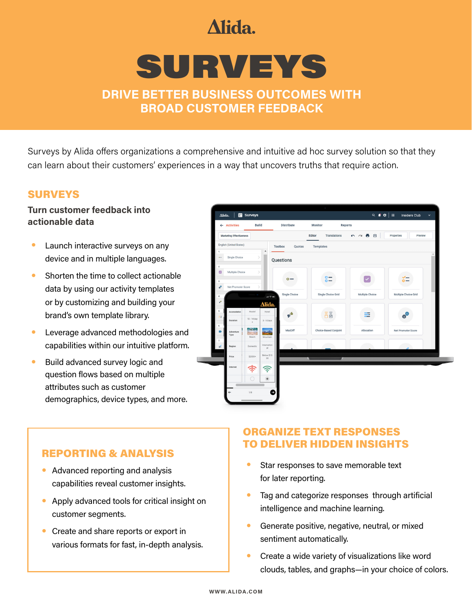# Alida.

# SURVEYS

**DRIVE BETTER BUSINESS OUTCOMES WITH BROAD CUSTOMER FEEDBACK**

Surveys by Alida offers organizations a comprehensive and intuitive ad hoc survey solution so that they can learn about their customers' experiences in a way that uncovers truths that require action.

### SURVEYS

#### **Turn customer feedback into actionable data**

- Launch interactive surveys on any device and in multiple languages.
- Shorten the time to collect actionable data by using our activity templates or by customizing and building your brand's own template library.
- Leverage advanced methodologies and capabilities within our intuitive platform.
- Build advanced survey logic and question flows based on multiple attributes such as customer demographics, device types, and more.



## REPORTING & ANALYSIS

- Advanced reporting and analysis capabilities reveal customer insights.
- Apply advanced tools for critical insight on customer segments.
- Create and share reports or export in various formats for fast, in-depth analysis.

## ORGANIZE TEXT RESPONSES TO DELIVER HIDDEN INSIGHTS

- Star responses to save memorable text for later reporting.
- Tag and categorize responses through artificial intelligence and machine learning.
- **•** Generate positive, negative, neutral, or mixed sentiment automatically.
- **•** Create a wide variety of visualizations like word clouds, tables, and graphs—in your choice of colors.